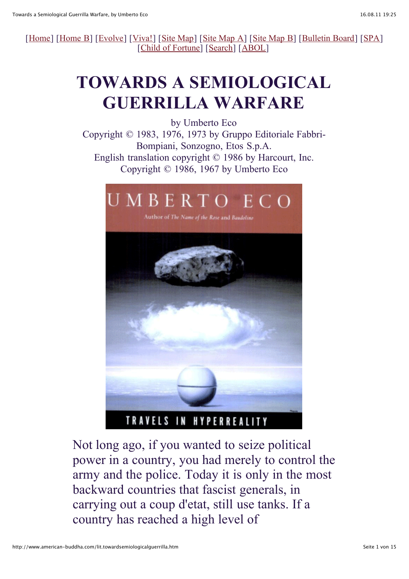[[Home\]](http://www.american-buddha.com/index.htm) [[Home B\]](http://www.american-buddha.com/index.old.1.htm) [[Evolve](http://www.american-buddha.com/index.evolveordieearthlings.htm)] [[Viva!\]](http://www.american-buddha.com/viva.htm) [[Site Map](http://www.american-buddha.com/site.map.htm)] [[Site Map A](http://www.american-buddha.com/site.mapA.htm)] [[Site Map B](http://www.american-buddha.com/site.1.map.htm)] [[Bulletin Board\]](http://www.american-buddha.com/bulletin_board/) [[SPA](http://www.american-buddha.com/solarpoweredadventures.htm)] [[Child of Fortune](http://www.american-buddha.com/childoffortuneindex.htm)] [[Search](javascript:doSearch1();)] [[ABOL](http://www.american-buddha.com/money.toc.htm)]

## **TOWARDS A SEMIOLOGICAL GUERRILLA WARFARE**

by Umberto Eco Copyright © 1983, 1976, 1973 by Gruppo Editoriale Fabbri-Bompiani, Sonzogno, Etos S.p.A. English translation copyright © 1986 by Harcourt, Inc. Copyright © 1986, 1967 by Umberto Eco

## UMBERTO ECO





Not long ago, if you wanted to seize political power in a country, you had merely to control the army and the police. Today it is only in the most backward countries that fascist generals, in carrying out a coup d'etat, still use tanks. If a country has reached a high level of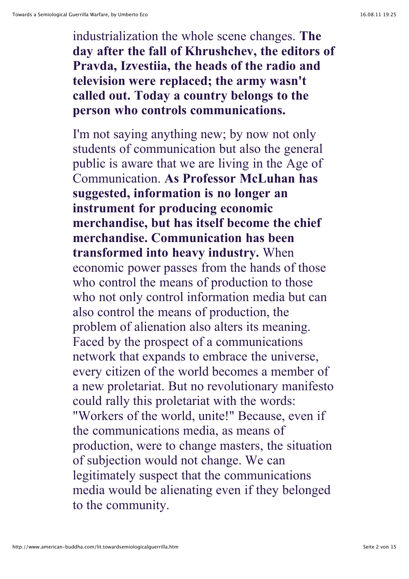industrialization the whole scene changes. **The day after the fall of Khrushchev, the editors of Pravda, Izvestiia, the heads of the radio and television were replaced; the army wasn't called out. Today a country belongs to the person who controls communications.**

I'm not saying anything new; by now not only students of communication but also the general public is aware that we are living in the Age of Communication. **As Professor McLuhan has suggested, information is no longer an instrument for producing economic merchandise, but has itself become the chief merchandise. Communication has been transformed into heavy industry.** When economic power passes from the hands of those who control the means of production to those who not only control information media but can also control the means of production, the problem of alienation also alters its meaning. Faced by the prospect of a communications network that expands to embrace the universe, every citizen of the world becomes a member of a new proletariat. But no revolutionary manifesto could rally this proletariat with the words: "Workers of the world, unite!" Because, even if the communications media, as means of production, were to change masters, the situation of subjection would not change. We can legitimately suspect that the communications media would be alienating even if they belonged to the community.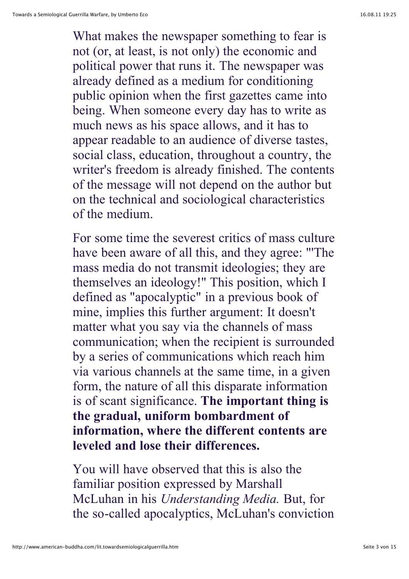What makes the newspaper something to fear is not (or, at least, is not only) the economic and political power that runs it. The newspaper was already defined as a medium for conditioning public opinion when the first gazettes came into being. When someone every day has to write as much news as his space allows, and it has to appear readable to an audience of diverse tastes, social class, education, throughout a country, the writer's freedom is already finished. The contents of the message will not depend on the author but on the technical and sociological characteristics of the medium.

For some time the severest critics of mass culture have been aware of all this, and they agree: "'The mass media do not transmit ideologies; they are themselves an ideology!" This position, which I defined as "apocalyptic" in a previous book of mine, implies this further argument: It doesn't matter what you say via the channels of mass communication; when the recipient is surrounded by a series of communications which reach him via various channels at the same time, in a given form, the nature of all this disparate information is of scant significance. **The important thing is the gradual, uniform bombardment of information, where the different contents are leveled and lose their differences.**

You will have observed that this is also the familiar position expressed by Marshall McLuhan in his *Understanding Media.* But, for the so-called apocalyptics, McLuhan's conviction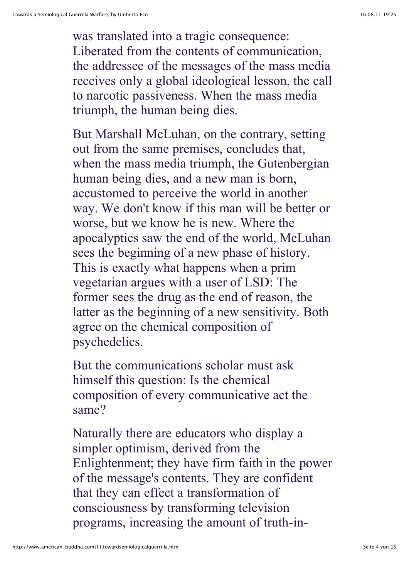was translated into a tragic consequence: Liberated from the contents of communication, the addressee of the messages of the mass media receives only a global ideological lesson, the call to narcotic passiveness. When the mass media triumph, the human being dies.

But Marshall McLuhan, on the contrary, setting out from the same premises, concludes that, when the mass media triumph, the Gutenbergian human being dies, and a new man is born, accustomed to perceive the world in another way. We don't know if this man will be better or worse, but we know he is new. Where the apocalyptics saw the end of the world, McLuhan sees the beginning of a new phase of history. This is exactly what happens when a prim vegetarian argues with a user of LSD: The former sees the drug as the end of reason, the latter as the beginning of a new sensitivity. Both agree on the chemical composition of psychedelics.

But the communications scholar must ask himself this question: Is the chemical composition of every communicative act the same?

Naturally there are educators who display a simpler optimism, derived from the Enlightenment; they have firm faith in the power of the message's contents. They are confident that they can effect a transformation of consciousness by transforming television programs, increasing the amount of truth-in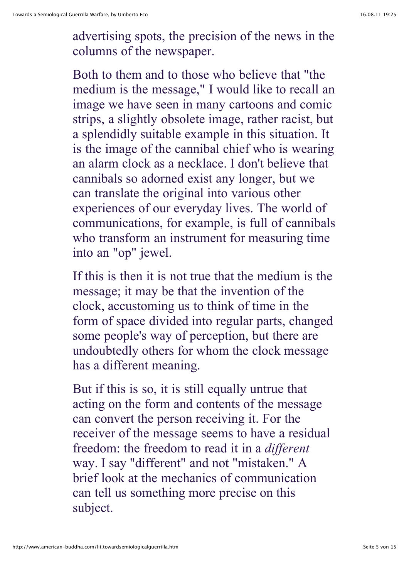advertising spots, the precision of the news in the columns of the newspaper.

Both to them and to those who believe that "the medium is the message," I would like to recall an image we have seen in many cartoons and comic strips, a slightly obsolete image, rather racist, but a splendidly suitable example in this situation. It is the image of the cannibal chief who is wearing an alarm clock as a necklace. I don't believe that cannibals so adorned exist any longer, but we can translate the original into various other experiences of our everyday lives. The world of communications, for example, is full of cannibals who transform an instrument for measuring time into an "op" jewel.

If this is then it is not true that the medium is the message; it may be that the invention of the clock, accustoming us to think of time in the form of space divided into regular parts, changed some people's way of perception, but there are undoubtedly others for whom the clock message has a different meaning.

But if this is so, it is still equally untrue that acting on the form and contents of the message can convert the person receiving it. For the receiver of the message seems to have a residual freedom: the freedom to read it in a *different* way. I say "different" and not "mistaken." A brief look at the mechanics of communication can tell us something more precise on this subject.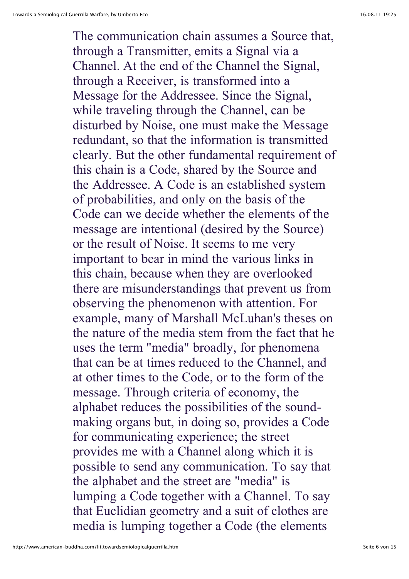The communication chain assumes a Source that, through a Transmitter, emits a Signal via a Channel. At the end of the Channel the Signal, through a Receiver, is transformed into a Message for the Addressee. Since the Signal, while traveling through the Channel, can be disturbed by Noise, one must make the Message redundant, so that the information is transmitted clearly. But the other fundamental requirement of this chain is a Code, shared by the Source and the Addressee. A Code is an established system of probabilities, and only on the basis of the Code can we decide whether the elements of the message are intentional (desired by the Source) or the result of Noise. It seems to me very important to bear in mind the various links in this chain, because when they are overlooked there are misunderstandings that prevent us from observing the phenomenon with attention. For example, many of Marshall McLuhan's theses on the nature of the media stem from the fact that he uses the term "media" broadly, for phenomena that can be at times reduced to the Channel, and at other times to the Code, or to the form of the message. Through criteria of economy, the alphabet reduces the possibilities of the soundmaking organs but, in doing so, provides a Code for communicating experience; the street provides me with a Channel along which it is possible to send any communication. To say that the alphabet and the street are "media" is lumping a Code together with a Channel. To say that Euclidian geometry and a suit of clothes are media is lumping together a Code (the elements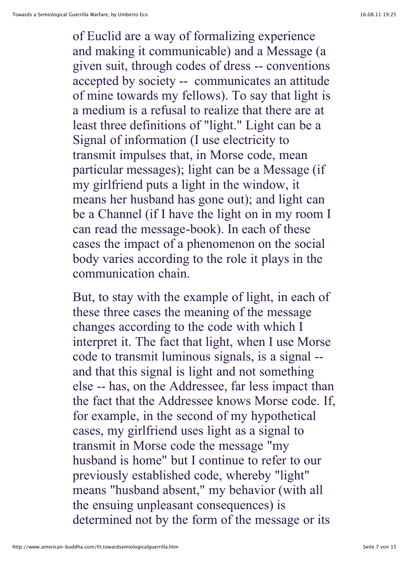of Euclid are a way of formalizing experience and making it communicable) and a Message (a given suit, through codes of dress -- conventions accepted by society -- communicates an attitude of mine towards my fellows). To say that light is a medium is a refusal to realize that there are at least three definitions of "light." Light can be a Signal of information (I use electricity to transmit impulses that, in Morse code, mean particular messages); light can be a Message (if my girlfriend puts a light in the window, it means her husband has gone out); and light can be a Channel (if I have the light on in my room I can read the message-book). In each of these cases the impact of a phenomenon on the social body varies according to the role it plays in the communication chain.

But, to stay with the example of light, in each of these three cases the meaning of the message changes according to the code with which I interpret it. The fact that light, when I use Morse code to transmit luminous signals, is a signal - and that this signal is light and not something else -- has, on the Addressee, far less impact than the fact that the Addressee knows Morse code. If, for example, in the second of my hypothetical cases, my girlfriend uses light as a signal to transmit in Morse code the message "my husband is home" but I continue to refer to our previously established code, whereby "light" means "husband absent," my behavior (with all the ensuing unpleasant consequences) is determined not by the form of the message or its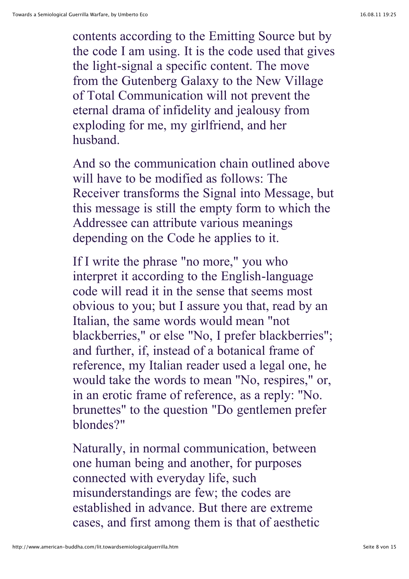contents according to the Emitting Source but by the code I am using. It is the code used that gives the light-signal a specific content. The move from the Gutenberg Galaxy to the New Village of Total Communication will not prevent the eternal drama of infidelity and jealousy from exploding for me, my girlfriend, and her husband.

And so the communication chain outlined above will have to be modified as follows: The Receiver transforms the Signal into Message, but this message is still the empty form to which the Addressee can attribute various meanings depending on the Code he applies to it.

If I write the phrase "no more," you who interpret it according to the English-language code will read it in the sense that seems most obvious to you; but I assure you that, read by an Italian, the same words would mean "not blackberries," or else "No, I prefer blackberries"; and further, if, instead of a botanical frame of reference, my Italian reader used a legal one, he would take the words to mean "No, respires," or, in an erotic frame of reference, as a reply: "No. brunettes" to the question "Do gentlemen prefer blondes?"

Naturally, in normal communication, between one human being and another, for purposes connected with everyday life, such misunderstandings are few; the codes are established in advance. But there are extreme cases, and first among them is that of aesthetic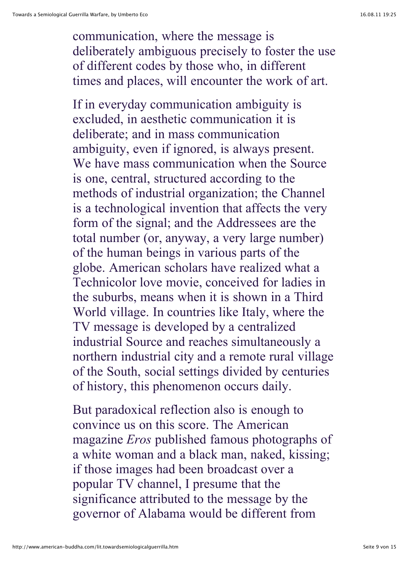communication, where the message is deliberately ambiguous precisely to foster the use of different codes by those who, in different times and places, will encounter the work of art.

If in everyday communication ambiguity is excluded, in aesthetic communication it is deliberate; and in mass communication ambiguity, even if ignored, is always present. We have mass communication when the Source is one, central, structured according to the methods of industrial organization; the Channel is a technological invention that affects the very form of the signal; and the Addressees are the total number (or, anyway, a very large number) of the human beings in various parts of the globe. American scholars have realized what a Technicolor love movie, conceived for ladies in the suburbs, means when it is shown in a Third World village. In countries like Italy, where the TV message is developed by a centralized industrial Source and reaches simultaneously a northern industrial city and a remote rural village of the South, social settings divided by centuries of history, this phenomenon occurs daily.

But paradoxical reflection also is enough to convince us on this score. The American magazine *Eros* published famous photographs of a white woman and a black man, naked, kissing; if those images had been broadcast over a popular TV channel, I presume that the significance attributed to the message by the governor of Alabama would be different from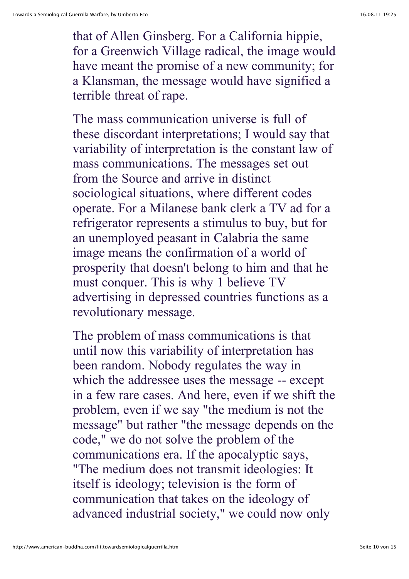that of Allen Ginsberg. For a California hippie, for a Greenwich Village radical, the image would have meant the promise of a new community; for a Klansman, the message would have signified a terrible threat of rape.

The mass communication universe is full of these discordant interpretations; I would say that variability of interpretation is the constant law of mass communications. The messages set out from the Source and arrive in distinct sociological situations, where different codes operate. For a Milanese bank clerk a TV ad for a refrigerator represents a stimulus to buy, but for an unemployed peasant in Calabria the same image means the confirmation of a world of prosperity that doesn't belong to him and that he must conquer. This is why 1 believe TV advertising in depressed countries functions as a revolutionary message.

The problem of mass communications is that until now this variability of interpretation has been random. Nobody regulates the way in which the addressee uses the message -- except in a few rare cases. And here, even if we shift the problem, even if we say "the medium is not the message" but rather "the message depends on the code," we do not solve the problem of the communications era. If the apocalyptic says, "The medium does not transmit ideologies: It itself is ideology; television is the form of communication that takes on the ideology of advanced industrial society," we could now only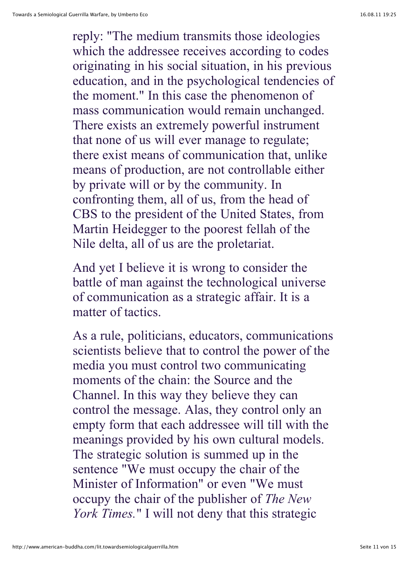reply: "The medium transmits those ideologies which the addressee receives according to codes originating in his social situation, in his previous education, and in the psychological tendencies of the moment." In this case the phenomenon of mass communication would remain unchanged. There exists an extremely powerful instrument that none of us will ever manage to regulate; there exist means of communication that, unlike means of production, are not controllable either by private will or by the community. In confronting them, all of us, from the head of CBS to the president of the United States, from Martin Heidegger to the poorest fellah of the Nile delta, all of us are the proletariat.

And yet I believe it is wrong to consider the battle of man against the technological universe of communication as a strategic affair. It is a matter of tactics.

As a rule, politicians, educators, communications scientists believe that to control the power of the media you must control two communicating moments of the chain: the Source and the Channel. In this way they believe they can control the message. Alas, they control only an empty form that each addressee will till with the meanings provided by his own cultural models. The strategic solution is summed up in the sentence "We must occupy the chair of the Minister of Information" or even "We must occupy the chair of the publisher of *The New York Times.*" I will not deny that this strategic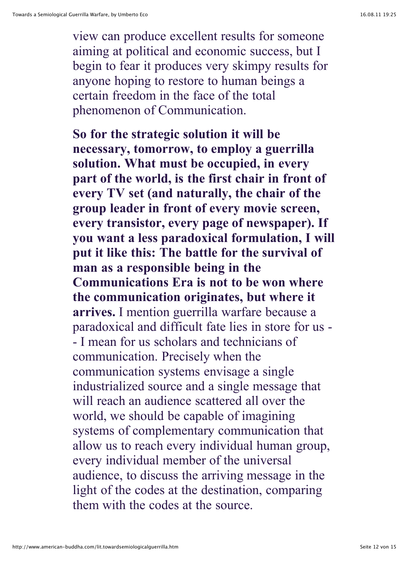view can produce excellent results for someone aiming at political and economic success, but I begin to fear it produces very skimpy results for anyone hoping to restore to human beings a certain freedom in the face of the total phenomenon of Communication.

**So for the strategic solution it will be necessary, tomorrow, to employ a guerrilla solution. What must be occupied, in every part of the world, is the first chair in front of every TV set (and naturally, the chair of the group leader in front of every movie screen, every transistor, every page of newspaper). If you want a less paradoxical formulation, I will put it like this: The battle for the survival of man as a responsible being in the Communications Era is not to be won where the communication originates, but where it arrives.** I mention guerrilla warfare because a paradoxical and difficult fate lies in store for us - - I mean for us scholars and technicians of communication. Precisely when the communication systems envisage a single industrialized source and a single message that will reach an audience scattered all over the world, we should be capable of imagining systems of complementary communication that allow us to reach every individual human group, every individual member of the universal audience, to discuss the arriving message in the light of the codes at the destination, comparing them with the codes at the source.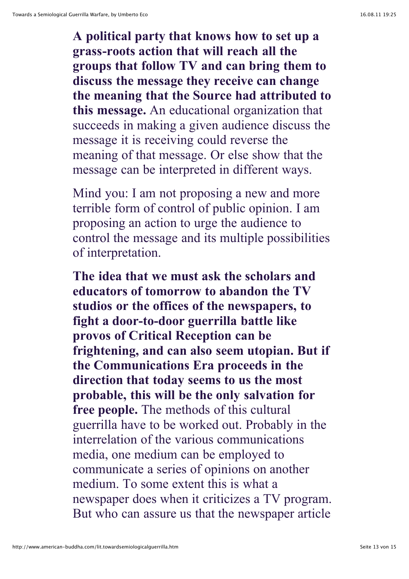**A political party that knows how to set up a grass-roots action that will reach all the groups that follow TV and can bring them to discuss the message they receive can change the meaning that the Source had attributed to this message.** An educational organization that succeeds in making a given audience discuss the message it is receiving could reverse the meaning of that message. Or else show that the message can be interpreted in different ways.

Mind you: I am not proposing a new and more terrible form of control of public opinion. I am proposing an action to urge the audience to control the message and its multiple possibilities of interpretation.

**The idea that we must ask the scholars and educators of tomorrow to abandon the TV studios or the offices of the newspapers, to fight a door-to-door guerrilla battle like provos of Critical Reception can be frightening, and can also seem utopian. But if the Communications Era proceeds in the direction that today seems to us the most probable, this will be the only salvation for free people.** The methods of this cultural guerrilla have to be worked out. Probably in the interrelation of the various communications media, one medium can be employed to communicate a series of opinions on another medium. To some extent this is what a newspaper does when it criticizes a TV program. But who can assure us that the newspaper article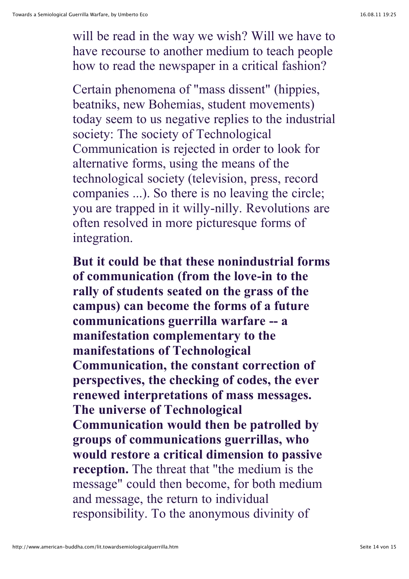will be read in the way we wish? Will we have to have recourse to another medium to teach people how to read the newspaper in a critical fashion?

Certain phenomena of "mass dissent" (hippies, beatniks, new Bohemias, student movements) today seem to us negative replies to the industrial society: The society of Technological Communication is rejected in order to look for alternative forms, using the means of the technological society (television, press, record companies ...). So there is no leaving the circle; you are trapped in it willy-nilly. Revolutions are often resolved in more picturesque forms of integration.

**But it could be that these nonindustrial forms of communication (from the love-in to the rally of students seated on the grass of the campus) can become the forms of a future communications guerrilla warfare -- a manifestation complementary to the manifestations of Technological Communication, the constant correction of perspectives, the checking of codes, the ever renewed interpretations of mass messages. The universe of Technological Communication would then be patrolled by groups of communications guerrillas, who would restore a critical dimension to passive reception.** The threat that "the medium is the message" could then become, for both medium and message, the return to individual responsibility. To the anonymous divinity of